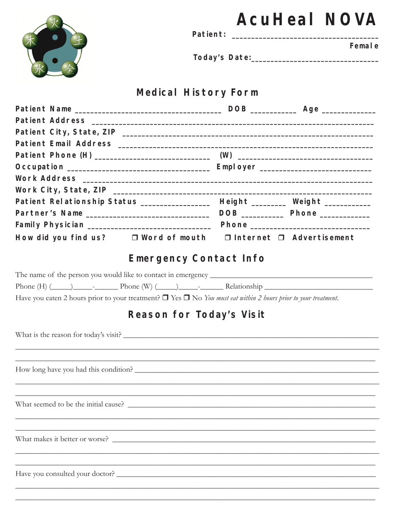|                                                                                                                                                                                                                            |                                                                                                                       |  | <b>AcuHeal NOVA</b> |
|----------------------------------------------------------------------------------------------------------------------------------------------------------------------------------------------------------------------------|-----------------------------------------------------------------------------------------------------------------------|--|---------------------|
|                                                                                                                                                                                                                            |                                                                                                                       |  | Femal e             |
|                                                                                                                                                                                                                            |                                                                                                                       |  |                     |
|                                                                                                                                                                                                                            | <b>Medical History Form</b>                                                                                           |  |                     |
|                                                                                                                                                                                                                            |                                                                                                                       |  |                     |
|                                                                                                                                                                                                                            |                                                                                                                       |  |                     |
|                                                                                                                                                                                                                            |                                                                                                                       |  |                     |
|                                                                                                                                                                                                                            |                                                                                                                       |  |                     |
|                                                                                                                                                                                                                            |                                                                                                                       |  |                     |
|                                                                                                                                                                                                                            |                                                                                                                       |  |                     |
|                                                                                                                                                                                                                            |                                                                                                                       |  |                     |
|                                                                                                                                                                                                                            |                                                                                                                       |  |                     |
| Patient Relationship Status ________________ Height _______ Weight ___________                                                                                                                                             |                                                                                                                       |  |                     |
|                                                                                                                                                                                                                            |                                                                                                                       |  |                     |
|                                                                                                                                                                                                                            |                                                                                                                       |  |                     |
| How did you find us? □ Word of mouth □ Internet □ Advertisement                                                                                                                                                            |                                                                                                                       |  |                     |
|                                                                                                                                                                                                                            | <b>Emergency Contact Info</b>                                                                                         |  |                     |
|                                                                                                                                                                                                                            |                                                                                                                       |  |                     |
| Phone $(H)$ $(\underline{\hspace{1cm}})$ $\underline{\hspace{1cm}}$ $\cdot$ $\underline{\hspace{1cm}}$ Phone $(W)$ $(\underline{\hspace{1cm}})$ $\underline{\hspace{1cm}}$ $\cdot$ Relationship $\underline{\hspace{1cm}}$ |                                                                                                                       |  |                     |
| Have you eaten 2 hours prior to your treatment? $\Box$ Yes $\Box$ No You must eat within 2 hours prior to your treatment.                                                                                                  |                                                                                                                       |  |                     |
|                                                                                                                                                                                                                            | Reason for Today's Visit                                                                                              |  |                     |
|                                                                                                                                                                                                                            |                                                                                                                       |  |                     |
|                                                                                                                                                                                                                            |                                                                                                                       |  |                     |
|                                                                                                                                                                                                                            | <u> 1989 - Johann Barn, amerikan basar dan basa dalam basa dan basa dalam basa dalam basa dalam basa dalam basa d</u> |  |                     |
|                                                                                                                                                                                                                            | <u> 1989 - Johann Stoff, amerikansk politiker (d. 1989)</u>                                                           |  |                     |
|                                                                                                                                                                                                                            | <u> 1989 - Johann John Stoff, deutscher Stoffen und der Stoffen und der Stoffen und der Stoffen und der Stoffen u</u> |  |                     |
|                                                                                                                                                                                                                            |                                                                                                                       |  |                     |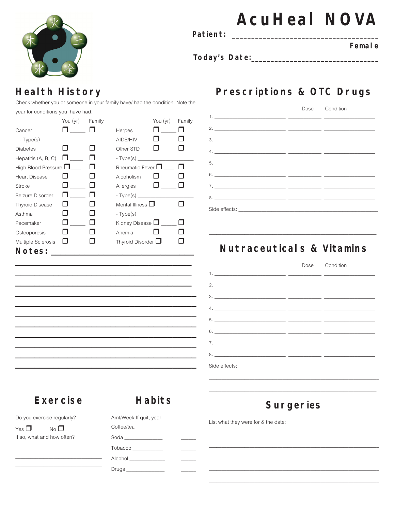

Patient:

# **AcuHeal NOVA**

Femal e

## **Health History**

Check whether you or someone in your family have/ had the condition. Note the year for conditions you have had.

|                                     | You (yr) Family |                            | You (yr) | Family |
|-------------------------------------|-----------------|----------------------------|----------|--------|
| Cancer                              |                 | Herpes                     |          |        |
| $-Type(s)$                          |                 | AIDS/HIV                   |          |        |
| <b>Diabetes</b>                     |                 | Other STD                  |          |        |
| Hepatitis (A, B, C)                 | $\Box$          | $-Type(s)$                 |          |        |
| High Blood Pressure $\bigsqcup$ ___ |                 | Rheumatic Fever $\Box$     |          |        |
| <b>Heart Disease</b>                | . .             | Alcoholism                 |          |        |
| Stroke                              |                 | Allergies                  | <b>U</b> |        |
| Seizure Disorder                    |                 | $-Type(s)$                 |          |        |
| <b>Thyroid Disease</b>              |                 | Mental Illness $\square$   |          |        |
| Asthma                              |                 | $-Type(s)$                 |          |        |
| Pacemaker                           |                 | Kidney Disease $\Box$      |          |        |
| Osteoporosis                        |                 | Anemia                     |          |        |
| <b>Multiple Sclerosis</b>           |                 | Thyroid Disorder $\square$ |          |        |
| Notes:                              |                 |                            |          |        |

## Prescriptions & OTC Drugs

|  | Dose Condition |
|--|----------------|
|  |                |
|  |                |
|  |                |
|  |                |
|  |                |
|  |                |
|  |                |
|  |                |
|  |                |
|  |                |

### Nutraceuticals & Vitamins

#### Dose Condition  $1.$  $=$  $2.$  $\overline{a}$  $3.$  $4.$  $5.$  $\overline{a}$  $\overline{a}$  $6.$  $7.$  $8.$ Side effects:

## **Exercise**

#### **Habits**

Do you exercise regularly?

Yes  $\Box$  $No$ If so, what and how often? Amt/Week If quit, year Coffee/tea Soda\_\_\_\_\_\_ Tobacco Alcohol \_\_\_ Drugs\_

**Surgeries** 

List what they were for & the date: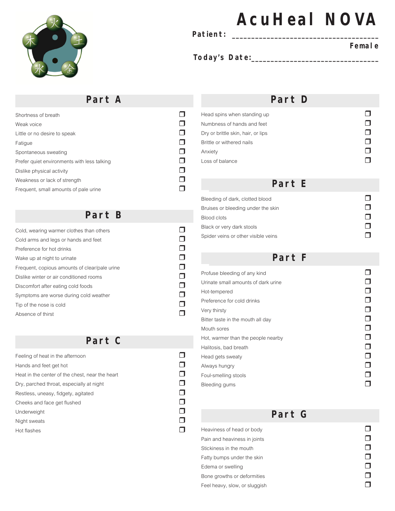

#### Patient:

# **AcuHeal NOVA**

#### **Female**

**Today's Date:\_\_\_\_\_\_\_\_\_\_\_\_\_\_\_\_\_\_\_\_\_\_\_\_\_\_\_\_\_\_\_\_\_** 

#### **Part A**

| Shortness of breath                         |  |
|---------------------------------------------|--|
| Weak voice                                  |  |
| Little or no desire to speak                |  |
| Fatigue                                     |  |
| Spontaneous sweating                        |  |
| Prefer quiet environments with less talking |  |
| Dislike physical activity                   |  |
| Weakness or lack of strength                |  |
| Frequent, small amounts of pale urine       |  |

#### **Part B**

| Cold, wearing warmer clothes than others      |  |
|-----------------------------------------------|--|
| Cold arms and legs or hands and feet          |  |
| Preference for hot drinks                     |  |
| Wake up at night to urinate                   |  |
| Frequent, copious amounts of clear/pale urine |  |
| Dislike winter or air conditioned rooms       |  |
| Discomfort after eating cold foods            |  |
| Symptoms are worse during cold weather        |  |
| Tip of the nose is cold                       |  |
| Absence of thirst                             |  |

#### **Part C**

| Feeling of heat in the afternoon                |  |
|-------------------------------------------------|--|
| Hands and feet get hot                          |  |
| Heat in the center of the chest, near the heart |  |
| Dry, parched throat, especially at night        |  |
| Restless, uneasy, fidgety, agitated             |  |
| Cheeks and face get flushed                     |  |
| Underweight                                     |  |
| Night sweats                                    |  |
| Hot flashes                                     |  |

#### **Part D**

#### **Part E**

| Bleeding of dark, clotted blood     |  |
|-------------------------------------|--|
| Bruises or bleeding under the skin  |  |
| Blood clots                         |  |
| Black or very dark stools           |  |
| Spider veins or other visible veins |  |

#### **Part F**

| Profuse bleeding of any kind        |  |
|-------------------------------------|--|
| Urinate small amounts of dark urine |  |
| Hot-tempered                        |  |
| Preference for cold drinks          |  |
| Very thirsty                        |  |
| Bitter taste in the mouth all day   |  |
| Mouth sores                         |  |
| Hot, warmer than the people nearby  |  |
| Halitosis, bad breath               |  |
| Head gets sweaty                    |  |
| Always hungry                       |  |
| Foul-smelling stools                |  |
| Bleeding gums                       |  |

## **Part G**

Heaviness of head or body<br>
Pain and heaviness in ioints Pain and heaviness in joints  $\Box$ <br>Stickiness in the mouth  $\Box$ Stickiness in the mouth  $\Box$ <br>Fatty bumps under the skin Fatty bumps under the skin  $\Box$ <br>Edema or swelling  $\Box$ Edema or swelling  $\Box$ <br>Bone growths or deformities  $\Box$ Bone growths or deformities  $\square$ <br>Feel heavy, slow, or sluggish Feel heavy, slow, or sluggish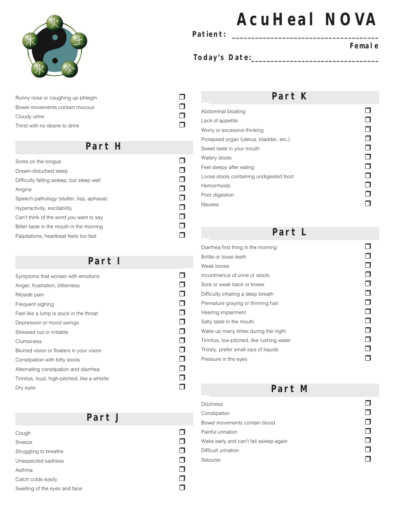

Runny nose or coughing up phlegm  $\Box$ <br>Bowel movements contain mucous Bowel movements contain mucous r Cloudy urine  $\square$ <br>
Thirst with no desire to drink Thirst with no desire to drink

#### **Part H**

| Sores on the tonque                       |  |
|-------------------------------------------|--|
| Dream-disturbed sleep                     |  |
| Difficulty falling asleep, but sleep well |  |
| Angina                                    |  |
| Speech pathology (stutter, lisp, aphasia) |  |
| Hyperactivity, excitability               |  |
| Can't think of the word you want to say   |  |
| Bitter taste in the mouth in the morning  |  |
| Palpitations: heartbeat feels too fast    |  |

#### **Part I**

| Symptoms that worsen with emotions           |  |
|----------------------------------------------|--|
| Anger, frustration, bitterness               |  |
| Ribside pain                                 |  |
| Frequent sighing                             |  |
| Feel like a lump is stuck in the throat      |  |
| Depression or mood swings                    |  |
| Stressed out or irritable                    |  |
| Clumsiness                                   |  |
| Blurred vision or floaters in your vision    |  |
| Constipation with bitty stools               |  |
| Alternating constipation and diarrhea        |  |
| Tinnitus, loud, high-pitched, like a whistle |  |
| Dry eyes                                     |  |

#### Part J

| Cough                         |  |
|-------------------------------|--|
| <b>Sneeze</b>                 |  |
| Struggling to breathe         |  |
| Unexpected sadness            |  |
| Asthma                        |  |
| Catch colds easily            |  |
| Swelling of the eyes and face |  |
|                               |  |

# **AcuHeal NOVA**

**Patient: \_\_\_\_\_\_\_\_\_\_\_\_\_\_\_\_\_\_\_\_\_\_\_\_\_\_\_\_\_\_\_\_\_\_\_\_\_\_** 

#### **Female**

#### **Today's Date:\_\_\_\_\_\_\_\_\_\_\_\_\_\_\_\_\_\_\_\_\_\_\_\_\_\_\_\_\_\_\_\_\_**

#### **Part K**

| Abdominal bloating                      |  |
|-----------------------------------------|--|
| Lack of appetite                        |  |
| Worry or excessive thinking             |  |
| Prolapsed organ (uterus, bladder, etc.) |  |
| Sweet taste in your mouth               |  |
| Watery stools                           |  |
| Feel sleepy after eating                |  |
| Loose stools containing undigested food |  |
| <b>Hemorrhoids</b>                      |  |
| Poor digestion                          |  |
| Nausea                                  |  |

#### **Part L**

| Diarrhea first thing in the morning       |  |
|-------------------------------------------|--|
| Brittle or loose teeth                    |  |
| Weak bones                                |  |
| Incontinence of urine or stools           |  |
| Sore or weak back or knees                |  |
| Difficulty inhaling a deep breath         |  |
| Premature graying or thinning hair        |  |
| Hearing impairment                        |  |
| Salty taste in the mouth                  |  |
| Wake up many times during the night       |  |
| Tinnitus, low-pitched, like rushing water |  |
| Thirsty, prefer small sips of liquids     |  |
| Pressure in the eyes                      |  |
|                                           |  |

**Part M**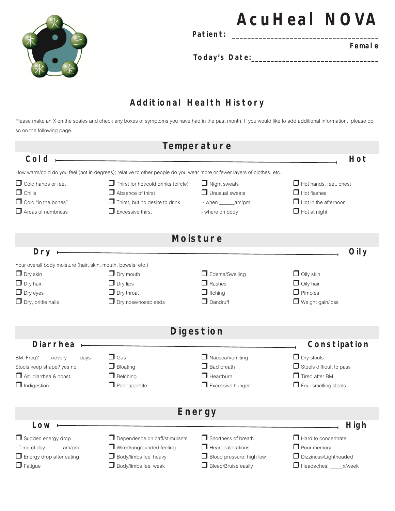

Patient:

**Female** 

**AcuHeal NOVA** 

**Today's Date:\_\_\_\_\_\_\_\_\_\_\_\_\_\_\_\_\_\_\_\_\_\_\_\_\_\_\_\_\_\_\_\_\_** 

### **Additional Health History**

Please make an X on the scales and check any boxes of symptoms you have had in the past month. If you would like to add additional information, please do so on the following page.